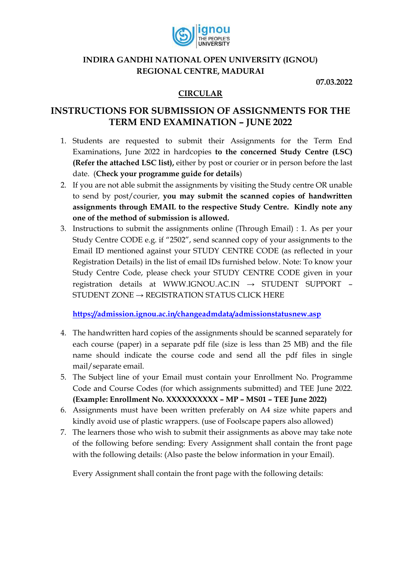

# **INDIRA GANDHI NATIONAL OPEN UNIVERSITY (IGNOU) REGIONAL CENTRE, MADURAI**

**07.03.2022**

# **CIRCULAR**

# **INSTRUCTIONS FOR SUBMISSION OF ASSIGNMENTS FOR THE TERM END EXAMINATION – JUNE 2022**

- 1. Students are requested to submit their Assignments for the Term End Examinations, June 2022 in hardcopies **to the concerned Study Centre (LSC) (Refer the attached LSC list),** either by post or courier or in person before the last date. (**Check your programme guide for details**)
- 2. If you are not able submit the assignments by visiting the Study centre OR unable to send by post/courier, **you may submit the scanned copies of handwritten assignments through EMAIL to the respective Study Centre. Kindly note any one of the method of submission is allowed.**
- 3. Instructions to submit the assignments online (Through Email) : 1. As per your Study Centre CODE e.g. if "2502", send scanned copy of your assignments to the Email ID mentioned against your STUDY CENTRE CODE (as reflected in your Registration Details) in the list of email IDs furnished below. Note: To know your Study Centre Code, please check your STUDY CENTRE CODE given in your registration details at WWW.IGNOU.AC.IN → STUDENT SUPPORT – STUDENT ZONE  $\rightarrow$  REGISTRATION STATUS CLICK HERE

**<https://admission.ignou.ac.in/changeadmdata/admissionstatusnew.asp>**

- 4. The handwritten hard copies of the assignments should be scanned separately for each course (paper) in a separate pdf file (size is less than 25 MB) and the file name should indicate the course code and send all the pdf files in single mail/separate email.
- 5. The Subject line of your Email must contain your Enrollment No. Programme Code and Course Codes (for which assignments submitted) and TEE June 2022. **(Example: Enrollment No. XXXXXXXXXX – MP – MS01 – TEE June 2022)**
- 6. Assignments must have been written preferably on A4 size white papers and kindly avoid use of plastic wrappers. (use of Foolscape papers also allowed)
- 7. The learners those who wish to submit their assignments as above may take note of the following before sending: Every Assignment shall contain the front page with the following details: (Also paste the below information in your Email).

Every Assignment shall contain the front page with the following details: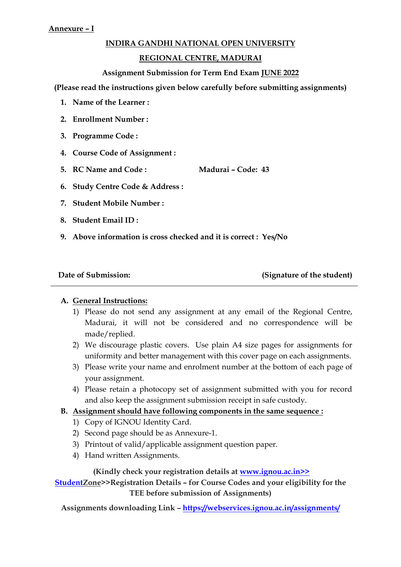### **INDIRA GANDHI NATIONAL OPEN UNIVERSITY**

### **REGIONAL CENTRE, MADURAI**

#### **Assignment Submission for Term End Exam JUNE 2022**

**(Please read the instructions given below carefully before submitting assignments)**

- **1. Name of the Learner :**
- **2. Enrollment Number :**
- **3. Programme Code :**
- **4. Course Code of Assignment :**
- **5. RC Name and Code : Madurai – Code: 43**
- **6. Study Centre Code & Address :**
- **7. Student Mobile Number :**
- **8. Student Email ID :**
- **9. Above information is cross checked and it is correct : Yes/No**

Date of Submission: (Signature of the student)

### **A. General Instructions:**

- 1) Please do not send any assignment at any email of the Regional Centre, Madurai, it will not be considered and no correspondence will be made/replied.
- 2) We discourage plastic covers. Use plain A4 size pages for assignments for uniformity and better management with this cover page on each assignments.
- 3) Please write your name and enrolment number at the bottom of each page of your assignment.
- 4) Please retain a photocopy set of assignment submitted with you for record and also keep the assignment submission receipt in safe custody.

#### **B. Assignment should have following components in the same sequence :**

- 1) Copy of IGNOU Identity Card.
- 2) Second page should be as Annexure-1.
- 3) Printout of valid/applicable assignment question paper.
- 4) Hand written Assignments.

#### **(Kindly check your registration details at www.ignou.ac.in>>**

**StudentZone>>Registration Details – for Course Codes and your eligibility for the TEE before submission of Assignments)**

**Assignments downloading Link – <https://webservices.ignou.ac.in/assignments/>**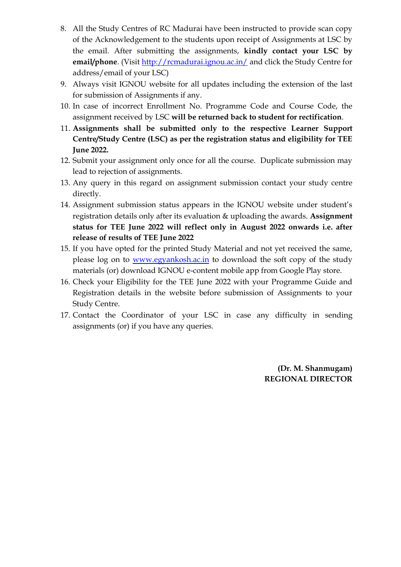- 8. All the Study Centres of RC Madurai have been instructed to provide scan copy of the Acknowledgement to the students upon receipt of Assignments at LSC by the email. After submitting the assignments, **kindly contact your LSC by email/phone**. (Visit<http://rcmadurai.ignou.ac.in/> and click the Study Centre for address/email of your LSC)
- 9. Always visit IGNOU website for all updates including the extension of the last for submission of Assignments if any.
- 10. In case of incorrect Enrollment No. Programme Code and Course Code, the assignment received by LSC **will be returned back to student for rectification**.
- 11. **Assignments shall be submitted only to the respective Learner Support Centre/Study Centre (LSC) as per the registration status and eligibility for TEE June 2022.**
- 12. Submit your assignment only once for all the course. Duplicate submission may lead to rejection of assignments.
- 13. Any query in this regard on assignment submission contact your study centre directly.
- 14. Assignment submission status appears in the IGNOU website under student's registration details only after its evaluation & uploading the awards. **Assignment status for TEE June 2022 will reflect only in August 2022 onwards i.e. after release of results of TEE June 2022**
- 15. If you have opted for the printed Study Material and not yet received the same, please log on to [www.egyankosh.ac.in](http://www.egyankosh.ac.in/) to download the soft copy of the study materials (or) download IGNOU e-content mobile app from Google Play store.
- 16. Check your Eligibility for the TEE June 2022 with your Programme Guide and Registration details in the website before submission of Assignments to your Study Centre.
- 17. Contact the Coordinator of your LSC in case any difficulty in sending assignments (or) if you have any queries.

**(Dr. M. Shanmugam) REGIONAL DIRECTOR**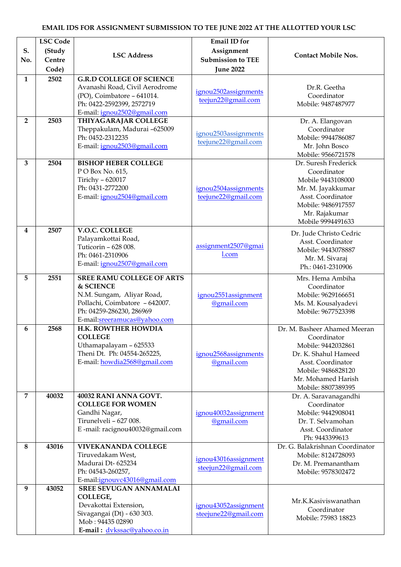#### **S. No. LSC Code (Study Centre Code) LSC Address Email ID for Assignment Submission to TEE June 2022 Contact Mobile Nos. 1 2502 G.R.D COLLEGE OF SCIENCE**  Avanashi Road, Civil Aerodrome (PO), Coimbatore – 641014. Ph: 0422-2592399, 2572719 E-mail: [ignou2502@gmail.com](mailto:ignou2502@gmail.com) [ignou2502assignments](mailto:ignou2502assignmentsteejun22@gmail.com) [teejun22@gmail.com](mailto:ignou2502assignmentsteejun22@gmail.com) Dr.R. Geetha Coordinator Mobile: 9487487977 **2 2503 THIYAGARAJAR COLLEGE**  Theppakulam, Madurai –625009 Ph: 0452-2312235 E-mail: [ignou2503@gmail.com](mailto:ignou2503@gmail.com) [ignou2503assignments](mailto:ignou2503assignmentsteejune22@gmail.com) [teejune22@gmail.com](mailto:ignou2503assignmentsteejune22@gmail.com) Dr. A. Elangovan Coordinator Mobile: 9944786087 Mr. John Bosco Mobile: 9566721578 **3 2504 BISHOP HEBER COLLEGE**  P O Box No. 615, Tirichy – 620017 Ph: 0431-2772200 E-mail: [ignou2504@gmail.com](mailto:ignou2504@gmail.com) [ignou2504assignments](mailto:ignou2504assignmentsteejune22@gmail.com) [teejune22@gmail.com](mailto:ignou2504assignmentsteejune22@gmail.com) Dr. Suresh Frederick Coordinator Mobile 9443108000 Mr. M. Jayakkumar Asst. Coordinator Mobile: 9486917557 Mr. Rajakumar Mobile 9994491633 **4 2507 V.O.C. COLLEGE**  Palayamkottai Road, Tuticorin – 628 008. Ph: 0461-2310906 E-mail: [ignou2507@gmail.com](mailto:ignou2507@gmail.com) [assignment2507@gmai](mailto:assignment2507@gmail.com) [l.com](mailto:assignment2507@gmail.com) Dr. Jude Christo Cedric Asst. Coordinator Mobile: 9443078887 Mr. M. Sivaraj Ph.: 0461-2310906 **5 2551 SREE RAMU COLLEGE OF ARTS & SCIENCE** N.M. Sungam, Aliyar Road, Pollachi, Coimbatore – 642007. Ph: 04259-286230, 286969 E-mail[:sreeramucas@yahoo.com](mailto:sreeramucas@yahoo.com) [ignou2551assignment](mailto:ignou2551assignment@gmail.com) [@gmail.com](mailto:ignou2551assignment@gmail.com) Mrs. Hema Ambiha Coordinator Mobile: 9629166651 Ms. M. Kousalyadevi Mobile: 9677523398 **6 2568 H.K. ROWTHER HOWDIA COLLEGE** Uthamapalayam – 625533 Theni Dt. Ph: 04554-265225, E-mail: [howdia2568@gmail.com](mailto:howdia2568@gmail.com) [ignou2568assignments](mailto:ignou2568assignments@gmail.com) [@gmail.com](mailto:ignou2568assignments@gmail.com) Dr. M. Basheer Ahamed Meeran Coordinator Mobile: 9442032861 Dr. K. Shahul Hameed Asst. Coordinator Mobile: 9486828120 Mr. Mohamed Harish Mobile: 8807389395 **7 40032 40032 RANI ANNA GOVT. COLLEGE FOR WOMEN** Gandhi Nagar, Tirunelveli – 627 008. E -mail: racignou40032@gmail.com [ignou40032assignment](mailto:ignou40032assignment@gmail.com) [@gmail.com](mailto:ignou40032assignment@gmail.com) Dr. A. Saravanagandhi Coordinator Mobile: 9442908041 Dr. T. Selvamohan Asst. Coordinator Ph[: 9443399613](https://www.google.com/search?gs_ssp=eJzj4tVP1zc0TDcrT84uN0wzYPQSLErMy1RIzMtLVEjOz8lJTU8FALb3Cx4&q=rani+anna+college&oq=rani+anna+&aqs=chrome.1.0i355j46l2j0l2j69i57j0l2j46j0.5393j0j15&sourceid=chrome&ie=UTF-8) **8 43016 VIVEKANANDA COLLEGE** Tiruvedakam West, Madurai Dt- 625234 Ph: 04543-260257, E-mail[:ignouvc43016@gmail.com](mailto:ignouvc43016@gmail.com) [ignou43016assignment](mailto:ignou43016assignmentsteejun22@gmail.com) [steejun22@gmail.com](mailto:ignou43016assignmentsteejun22@gmail.com) Dr. G. Balakrishnan Coordinator Mobile: 8124728093 Dr. M. Premanantham Mobile: 9578302472 **9 43052 SREE SEVUGAN ANNAMALAI COLLEGE,** Devakottai Extension, Sivagangai (Dt) - 630 303. Mob : 94435 02890 [ignou43052assignment](mailto:ignou43052assignmentsteejune22@gmail.com) [steejune22@gmail.com](mailto:ignou43052assignmentsteejune22@gmail.com) Mr.K.Kasiviswanathan Coordinator Mobile: 75983 18823

**E-mail :** [dvkssac@yahoo.co.in](mailto:dvkssac@yahoo.co.in)

#### **EMAIL IDS FOR ASSIGNMENT SUBMISSION TO TEE JUNE 2022 AT THE ALLOTTED YOUR LSC**